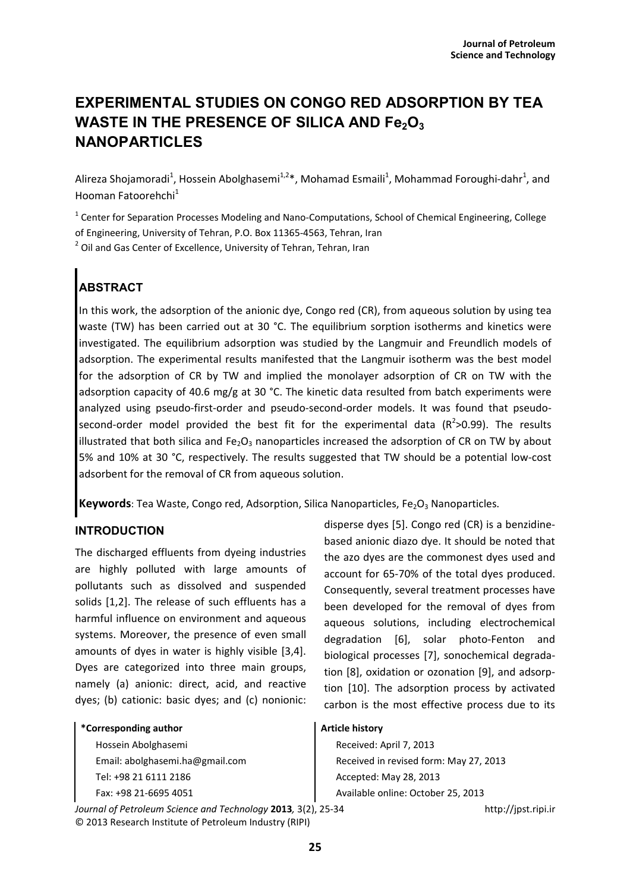# **EXPERIMENTAL STUDIES ON CONGO RED ADSORPTION BY TEA WASTE IN THE PRESENCE OF SILICA AND Fe2O<sup>3</sup> NANOPARTICLES**

Alireza Shojamoradi<sup>1</sup>, Hossein Abolghasemi<sup>1,2</sup>\*, Mohamad Esmaili<sup>1</sup>, Mohammad Foroughi-dahr<sup>1</sup>, and Hooman Fatoorehchi<sup>1</sup>

 $^1$  Center for Separation Processes Modeling and Nano-Computations, School of Chemical Engineering, College of Engineering, University of Tehran, P.O. Box 11365-4563, Tehran, Iran

 $2$  Oil and Gas Center of Excellence, University of Tehran, Tehran, Iran

## **ABSTRACT**

In this work, the adsorption of the anionic dye, Congo red (CR), from aqueous solution by using tea waste (TW) has been carried out at 30 °C. The equilibrium sorption isotherms and kinetics were investigated. The equilibrium adsorption was studied by the Langmuir and Freundlich models of adsorption. The experimental results manifested that the Langmuir isotherm was the best model for the adsorption of CR by TW and implied the monolayer adsorption of CR on TW with the adsorption capacity of 40.6 mg/g at 30 °C. The kinetic data resulted from batch experiments were analyzed using pseudo-first-order and pseudo-second-order models. It was found that pseudosecond-order model provided the best fit for the experimental data  $(R^2>0.99)$ . The results illustrated that both silica and  $Fe<sub>2</sub>O<sub>3</sub>$  nanoparticles increased the adsorption of CR on TW by about 5% and 10% at 30 °C, respectively. The results suggested that TW should be a potential low-cost adsorbent for the removal of CR from aqueous solution.

Keywords: Tea Waste, Congo red, Adsorption, Silica Nanoparticles, Fe<sub>2</sub>O<sub>3</sub> Nanoparticles.

### **INTRODUCTION**

The discharged effluents from dyeing industries are highly polluted with large amounts of pollutants such as dissolved and suspended solids [1,2]. The release of such effluents has a harmful influence on environment and aqueous systems. Moreover, the presence of even small amounts of dyes in water is highly visible [3,4]. Dyes are categorized into three main groups, namely (a) anionic: direct, acid, and reactive dyes; (b) cationic: basic dyes; and (c) nonionic:

#### **\*Corresponding author**

Hossein Abolghasemi Email: abolghasemi.ha@gmail.com Tel: +98 21 6111 2186 Fax: +98 21-6695 4051

*Journal of Petroleum Science and Technology* **2013***,* 3(2), 25-34 http://jpst.ripi.ir © 2013 Research Institute of Petroleum Industry (RIPI)

disperse dyes [5]. Congo red (CR) is a benzidinebased anionic diazo dye. It should be noted that the azo dyes are the commonest dyes used and account for 65-70% of the total dyes produced. Consequently, several treatment processes have been developed for the removal of dyes from aqueous solutions, including electrochemical degradation [6], solar photo-Fenton and biological processes [7], sonochemical degradation [8], oxidation or ozonation [9], and adsorption [10]. The adsorption process by activated carbon is the most effective process due to its

#### **Article history**

Received: April 7, 2013 Received in revised form: May 27, 2013 Accepted: May 28, 2013 Available online: October 25, 2013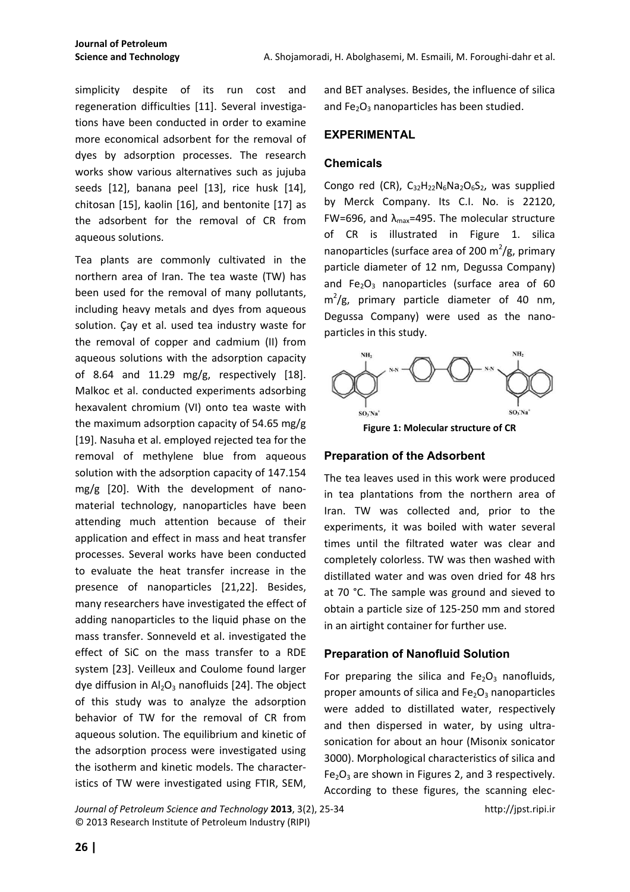simplicity despite of its run cost and regeneration difficulties [11]. Several investigations have been conducted in order to examine more economical adsorbent for the removal of dyes by adsorption processes. The research works show various alternatives such as jujuba seeds [12], banana peel [13], rice husk [14], chitosan [15], kaolin [16], and bentonite [17] as the adsorbent for the removal of CR from aqueous solutions.

Tea plants are commonly cultivated in the northern area of Iran. The tea waste (TW) has been used for the removal of many pollutants, including heavy metals and dyes from aqueous solution. Çay et al. used tea industry waste for the removal of copper and cadmium (II) from aqueous solutions with the adsorption capacity of 8.64 and 11.29 mg/g, respectively [18]. Malkoc et al. conducted experiments adsorbing hexavalent chromium (VI) onto tea waste with the maximum adsorption capacity of 54.65 mg/g [19]. Nasuha et al. employed rejected tea for the removal of methylene blue from aqueous solution with the adsorption capacity of 147.154 mg/g [20]. With the development of nanomaterial technology, nanoparticles have been attending much attention because of their application and effect in mass and heat transfer processes. Several works have been conducted to evaluate the heat transfer increase in the presence of nanoparticles [21,22]. Besides, many researchers have investigated the effect of adding nanoparticles to the liquid phase on the mass transfer. Sonneveld et al. investigated the effect of SiC on the mass transfer to a RDE system [23]. Veilleux and Coulome found larger dye diffusion in  $Al_2O_3$  nanofluids [24]. The object of this study was to analyze the adsorption behavior of TW for the removal of CR from aqueous solution. The equilibrium and kinetic of the adsorption process were investigated using the isotherm and kinetic models. The characteristics of TW were investigated using FTIR, SEM,

and BET analyses. Besides, the influence of silica and  $Fe<sub>2</sub>O<sub>3</sub>$  nanoparticles has been studied.

#### **EXPERIMENTAL**

#### **Chemicals**

Congo red (CR),  $C_{32}H_{22}N_6Na_2O_6S_2$ , was supplied by Merck Company. Its C.I. No. is 22120, FW=696, and  $\lambda_{\text{max}}$ =495. The molecular structure of CR is illustrated in Figure 1. silica nanoparticles (surface area of 200 m<sup>2</sup>/g, primary particle diameter of 12 nm, Degussa Company) and  $Fe<sub>2</sub>O<sub>3</sub>$  nanoparticles (surface area of 60  $m^2/g$ , primary particle diameter of 40 nm, Degussa Company) were used as the nanoparticles in this study.



**Figure 1: Molecular structure of CR**

#### **Preparation of the Adsorbent**

The tea leaves used in this work were produced in tea plantations from the northern area of Iran. TW was collected and, prior to the experiments, it was boiled with water several times until the filtrated water was clear and completely colorless. TW was then washed with distillated water and was oven dried for 48 hrs at 70 °C. The sample was ground and sieved to obtain a particle size of 125-250 mm and stored in an airtight container for further use.

#### **Preparation of Nanofluid Solution**

For preparing the silica and  $Fe<sub>2</sub>O<sub>3</sub>$  nanofluids, proper amounts of silica and  $Fe<sub>2</sub>O<sub>3</sub>$  nanoparticles were added to distillated water, respectively and then dispersed in water, by using ultrasonication for about an hour (Misonix sonicator 3000). Morphological characteristics of silica and  $Fe<sub>2</sub>O<sub>3</sub>$  are shown in Figures 2, and 3 respectively. According to these figures, the scanning elec-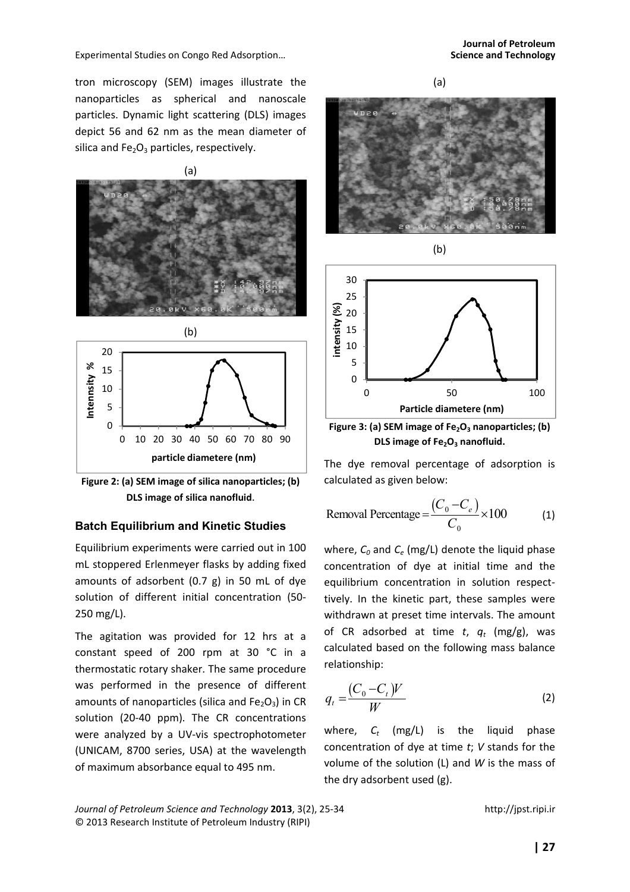tron microscopy (SEM) images illustrate the nanoparticles as spherical and nanoscale particles. Dynamic light scattering (DLS) images depict 56 and 62 nm as the mean diameter of silica and  $Fe<sub>2</sub>O<sub>3</sub>$  particles, respectively.







#### **Batch Equilibrium and Kinetic Studies**

Equilibrium experiments were carried out in 100 mL stoppered Erlenmeyer flasks by adding fixed amounts of adsorbent (0.7 g) in 50 mL of dye solution of different initial concentration (50- 250 mg/L).

The agitation was provided for 12 hrs at a constant speed of 200 rpm at 30 °C in a thermostatic rotary shaker. The same procedure was performed in the presence of different amounts of nanoparticles (silica and  $Fe<sub>2</sub>O<sub>3</sub>$ ) in CR solution (20-40 ppm). The CR concentrations were analyzed by a UV-vis spectrophotometer (UNICAM, 8700 series, USA) at the wavelength of maximum absorbance equal to 495 nm.



(b)



**Figure 3: (a) SEM image of Fe2O3 nanoparticles; (b) DLS image of Fe2O3 nanofluid.** 

The dye removal percentage of adsorption is calculated as given below:

Removal Percentage 
$$
=\frac{(C_0 - C_e)}{C_0} \times 100
$$
 (1)

where, *C0* and *Ce* (mg/L) denote the liquid phase concentration of dye at initial time and the equilibrium concentration in solution respecttively. In the kinetic part, these samples were withdrawn at preset time intervals. The amount of CR adsorbed at time *t*, *q<sup>t</sup>* (mg/g), was calculated based on the following mass balance relationship:

$$
q_t = \frac{(C_0 - C_t)V}{W}
$$
 (2)

where, *C<sup>t</sup>* (mg/L) is the liquid phase concentration of dye at time *t*; *V* stands for the volume of the solution (L) and *W* is the mass of the dry adsorbent used (g).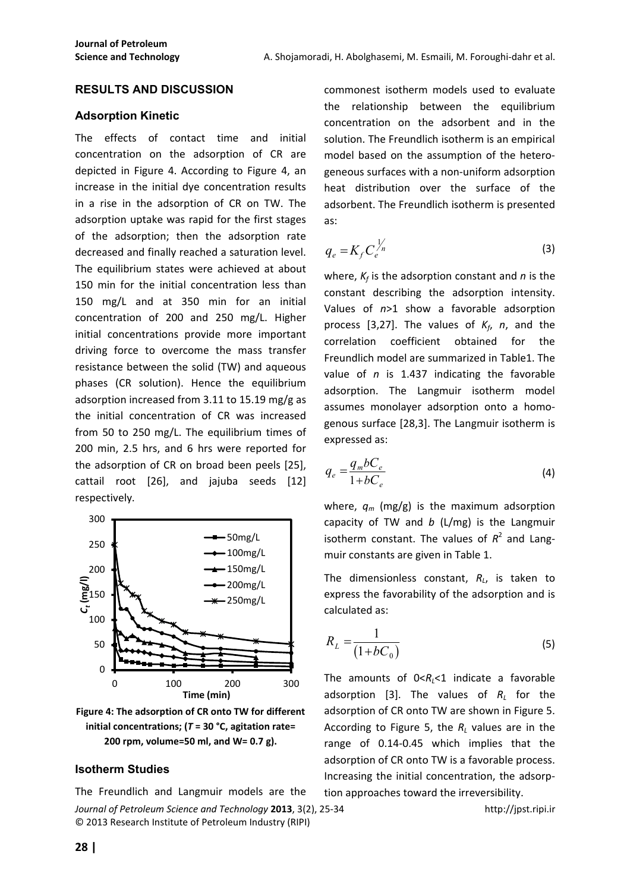#### **RESULTS AND DISCUSSION**

#### **Adsorption Kinetic**

The effects of contact time and initial concentration on the adsorption of CR are depicted in Figure 4. According to Figure 4, an increase in the initial dye concentration results in a rise in the adsorption of CR on TW. The adsorption uptake was rapid for the first stages of the adsorption; then the adsorption rate decreased and finally reached a saturation level. The equilibrium states were achieved at about 150 min for the initial concentration less than 150 mg/L and at 350 min for an initial concentration of 200 and 250 mg/L. Higher initial concentrations provide more important driving force to overcome the mass transfer resistance between the solid (TW) and aqueous phases (CR solution). Hence the equilibrium adsorption increased from 3.11 to 15.19 mg/g as the initial concentration of CR was increased from 50 to 250 mg/L. The equilibrium times of 200 min, 2.5 hrs, and 6 hrs were reported for the adsorption of CR on broad been peels [25], cattail root [26], and jajuba seeds [12] respectively.



**Figure 4: The adsorption of CR onto TW for different initial concentrations; (***T* **= 30 °C, agitation rate= 200 rpm, volume=50 ml, and W= 0.7 g).**

#### **Isotherm Studies**

*Journal of Petroleum Science and Technology* **2013**, 3(2), 25-34 http://jpst.ripi.ir © 2013 Research Institute of Petroleum Industry (RIPI) The Freundlich and Langmuir models are the

commonest isotherm models used to evaluate the relationship between the equilibrium concentration on the adsorbent and in the solution. The Freundlich isotherm is an empirical model based on the assumption of the heterogeneous surfaces with a non-uniform adsorption heat distribution over the surface of the adsorbent. The Freundlich isotherm is presented as:

$$
q_e = K_f C_e^{\frac{1}{n}}
$$
 (3)

where, *K<sup>f</sup>* is the adsorption constant and *n* is the constant describing the adsorption intensity. Values of *n*>1 show a favorable adsorption process [3,27]. The values of  $K_f$ , *n*, and the correlation coefficient obtained for the Freundlich model are summarized in Table1. The value of *n* is 1.437 indicating the favorable adsorption. The Langmuir isotherm model assumes monolayer adsorption onto a homogenous surface [28,3]. The Langmuir isotherm is expressed as:

$$
q_e = \frac{q_m b C_e}{1 + b C_e} \tag{4}
$$

where, *qm* (mg/g) is the maximum adsorption capacity of TW and *b* (L/mg) is the Langmuir isotherm constant. The values of  $R^2$  and Langmuir constants are given in Table 1.

The dimensionless constant, *R<sup>L</sup>* , is taken to express the favorability of the adsorption and is calculated as:

$$
R_L = \frac{1}{(1 + bC_0)}\tag{5}
$$

The amounts of  $0 < R<sub>1</sub> < 1$  indicate a favorable adsorption [3]. The values of *R<sup>L</sup>* for the adsorption of CR onto TW are shown in Figure 5. According to Figure 5, the  $R_L$  values are in the range of 0.14-0.45 which implies that the adsorption of CR onto TW is a favorable process. Increasing the initial concentration, the adsorption approaches toward the irreversibility.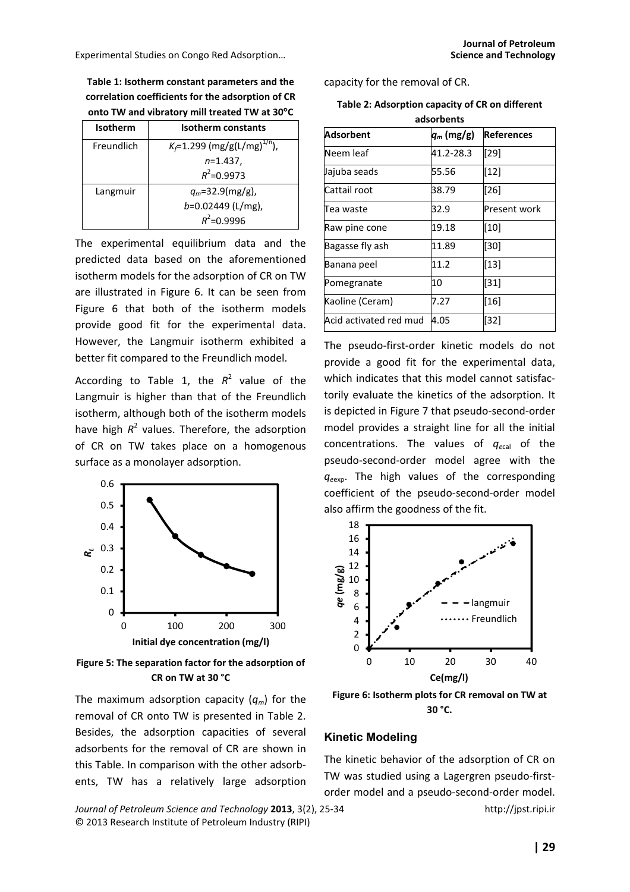**Table 1: Isotherm constant parameters and the correlation coefficients for the adsorption of CR onto TW and vibratory mill treated TW at 30**°**C** 

| <b>Isotherm</b> | Isotherm constants                         |  |  |
|-----------------|--------------------------------------------|--|--|
| Freundlich      | $K_f$ =1.299 (mg/g(L/mg) <sup>1/n</sup> ), |  |  |
|                 | $n=1.437$ ,                                |  |  |
|                 | $R^2$ =0.9973                              |  |  |
| Langmuir        | $q_m$ =32.9(mg/g),                         |  |  |
|                 | $b=0.02449$ (L/mg),                        |  |  |
|                 | $R^2$ =0.9996                              |  |  |

The experimental equilibrium data and the predicted data based on the aforementioned isotherm models for the adsorption of CR on TW are illustrated in Figure 6. It can be seen from Figure 6 that both of the isotherm models provide good fit for the experimental data. However, the Langmuir isotherm exhibited a better fit compared to the Freundlich model.

According to Table 1, the  $R^2$  value of the Langmuir is higher than that of the Freundlich isotherm, although both of the isotherm models have high  $R^2$  values. Therefore, the adsorption of CR on TW takes place on a homogenous surface as a monolayer adsorption.



**Figure 5: The separation factor for the adsorption of CR on TW at 30 °C** 

The maximum adsorption capacity (*qm*) for the removal of CR onto TW is presented in Table 2. Besides, the adsorption capacities of several adsorbents for the removal of CR are shown in this Table. In comparison with the other adsorbents, TW has a relatively large adsorption

*Journal of Petroleum Science and Technology* **2013**, 3(2), 25-34 http://jpst.ripi.ir © 2013 Research Institute of Petroleum Industry (RIPI)

capacity for the removal of CR.

**Table 2: Adsorption capacity of CR on different adsorbents** 

| ausul belits           |              |                   |  |  |  |  |
|------------------------|--------------|-------------------|--|--|--|--|
| <b>Adsorbent</b>       | $q_m$ (mg/g) | <b>References</b> |  |  |  |  |
| Neem leaf              | 41.2-28.3    | $[29]$            |  |  |  |  |
| Jajuba seads           | 55.56        | $[12]$            |  |  |  |  |
| Cattail root           | 38.79        | [26]              |  |  |  |  |
| Tea waste              | 32.9         | Present work      |  |  |  |  |
| Raw pine cone          | 19.18        | $[10]$            |  |  |  |  |
| Bagasse fly ash        | 11.89        | [30]              |  |  |  |  |
| Banana peel            | 11.2         | $[13]$            |  |  |  |  |
| Pomegranate            | 10           | $[31]$            |  |  |  |  |
| Kaoline (Ceram)        | 7.27         | $[16]$            |  |  |  |  |
| Acid activated red mud | 4.05         | $[32]$            |  |  |  |  |

The pseudo-first-order kinetic models do not provide a good fit for the experimental data, which indicates that this model cannot satisfactorily evaluate the kinetics of the adsorption. It is depicted in Figure 7 that pseudo-second-order model provides a straight line for all the initial concentrations. The values of *qe*cal of the pseudo-second-order model agree with the *qe*exp. The high values of the corresponding coefficient of the pseudo-second-order model also affirm the goodness of the fit.



**Figure 6: Isotherm plots for CR removal on TW at 30 °C.** 

#### **Kinetic Modeling**

The kinetic behavior of the adsorption of CR on TW was studied using a Lagergren pseudo-firstorder model and a pseudo-second-order model.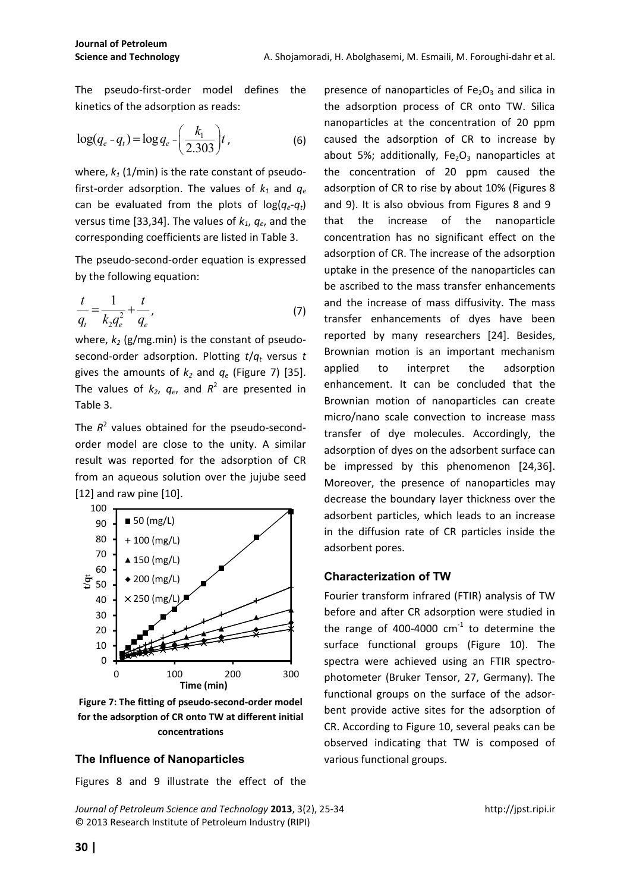The pseudo-first-order model defines the kinetics of the adsorption as reads:

$$
\log(q_e - q_t) = \log q_e - \left(\frac{k_1}{2.303}\right) t, \tag{6}
$$

where,  $k_1$  (1/min) is the rate constant of pseudofirst-order adsorption. The values of  $k_1$  and  $q_e$ can be evaluated from the plots of  $log(q_e-q_t)$ versus time [33,34]. The values of *k1*, *qe*, and the corresponding coefficients are listed in Table 3.

The pseudo-second-order equation is expressed by the following equation:

$$
\frac{t}{q_t} = \frac{1}{k_2 q_e^2} + \frac{t}{q_e},
$$
\n(7)

where,  $k_2$  (g/mg.min) is the constant of pseudosecond-order adsorption. Plotting *t*/*q<sup>t</sup>* versus *t* gives the amounts of  $k_2$  and  $q_e$  (Figure 7) [35]. The values of  $k_2$ ,  $q_e$ , and  $R^2$  are presented in Table 3.

The  $R^2$  values obtained for the pseudo-secondorder model are close to the unity. A similar result was reported for the adsorption of CR from an aqueous solution over the jujube seed [12] and raw pine [10].



**Figure 7: The fitting of pseudo-second-order model for the adsorption of CR onto TW at different initial concentrations** 

#### **The Influence of Nanoparticles**

Figures 8 and 9 illustrate the effect of the

*Journal of Petroleum Science and Technology* **2013**, 3(2), 25-34 http://jpst.ripi.ir © 2013 Research Institute of Petroleum Industry (RIPI)

presence of nanoparticles of  $Fe<sub>2</sub>O<sub>3</sub>$  and silica in the adsorption process of CR onto TW. Silica nanoparticles at the concentration of 20 ppm caused the adsorption of CR to increase by about 5%; additionally,  $Fe<sub>2</sub>O<sub>3</sub>$  nanoparticles at the concentration of 20 ppm caused the adsorption of CR to rise by about 10% (Figures 8 and 9). It is also obvious from Figures 8 and 9 that the increase of the nanoparticle concentration has no significant effect on the adsorption of CR. The increase of the adsorption uptake in the presence of the nanoparticles can be ascribed to the mass transfer enhancements and the increase of mass diffusivity. The mass transfer enhancements of dyes have been reported by many researchers [24]. Besides, Brownian motion is an important mechanism applied to interpret the adsorption enhancement. It can be concluded that the Brownian motion of nanoparticles can create micro/nano scale convection to increase mass transfer of dye molecules. Accordingly, the adsorption of dyes on the adsorbent surface can be impressed by this phenomenon [24,36]. Moreover, the presence of nanoparticles may decrease the boundary layer thickness over the adsorbent particles, which leads to an increase in the diffusion rate of CR particles inside the adsorbent pores.

#### **Characterization of TW**

Fourier transform infrared (FTIR) analysis of TW before and after CR adsorption were studied in the range of 400-4000  $cm^{-1}$  to determine the surface functional groups (Figure 10). The spectra were achieved using an FTIR spectrophotometer (Bruker Tensor, 27, Germany). The functional groups on the surface of the adsorbent provide active sites for the adsorption of CR. According to Figure 10, several peaks can be observed indicating that TW is composed of various functional groups.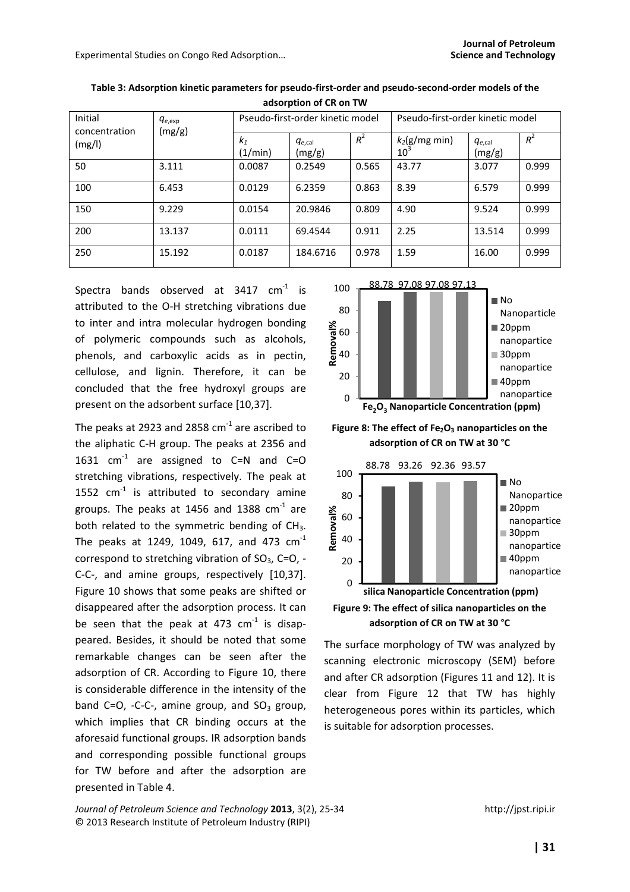| Initial<br>concentration<br>(mg/l) | $q_{e,exp}$<br>(mg/g) | Pseudo-first-order kinetic model |                       |       | Pseudo-first-order kinetic model |                       |       |
|------------------------------------|-----------------------|----------------------------------|-----------------------|-------|----------------------------------|-----------------------|-------|
|                                    |                       | $k_1$<br>(1/min)                 | $q_{e,cal}$<br>(mg/g) | $R^2$ | $k_2$ (g/mg min)<br>$10^3$       | $q_{e,cal}$<br>(mg/g) | $R^2$ |
| 50                                 | 3.111                 | 0.0087                           | 0.2549                | 0.565 | 43.77                            | 3.077                 | 0.999 |
| 100                                | 6.453                 | 0.0129                           | 6.2359                | 0.863 | 8.39                             | 6.579                 | 0.999 |
| 150                                | 9.229                 | 0.0154                           | 20.9846               | 0.809 | 4.90                             | 9.524                 | 0.999 |
| 200                                | 13.137                | 0.0111                           | 69.4544               | 0.911 | 2.25                             | 13.514                | 0.999 |
| 250                                | 15.192                | 0.0187                           | 184.6716              | 0.978 | 1.59                             | 16.00                 | 0.999 |

**Table 3: Adsorption kinetic parameters for pseudo-first-order and pseudo-second-order models of the adsorption of CR on TW** 

Spectra bands observed at  $3417$  cm<sup>-1</sup> is attributed to the O-H stretching vibrations due to inter and intra molecular hydrogen bonding of polymeric compounds such as alcohols, phenols, and carboxylic acids as in pectin, cellulose, and lignin. Therefore, it can be concluded that the free hydroxyl groups are present on the adsorbent surface [10,37].

The peaks at 2923 and 2858  $cm<sup>-1</sup>$  are ascribed to the aliphatic C-H group. The peaks at 2356 and 1631  $cm^{-1}$  are assigned to C=N and C=O stretching vibrations, respectively. The peak at 1552  $cm^{-1}$  is attributed to secondary amine groups. The peaks at 1456 and 1388  $cm<sup>-1</sup>$  are both related to the symmetric bending of  $CH<sub>3</sub>$ . The peaks at 1249, 1049, 617, and 473  $cm^{-1}$ correspond to stretching vibration of  $SO<sub>3</sub>$ , C=O, -C-C-, and amine groups, respectively [10,37]. Figure 10 shows that some peaks are shifted or disappeared after the adsorption process. It can be seen that the peak at 473  $cm<sup>-1</sup>$  is disappeared. Besides, it should be noted that some remarkable changes can be seen after the adsorption of CR. According to Figure 10, there is considerable difference in the intensity of the band C=O, -C-C-, amine group, and  $SO<sub>3</sub>$  group, which implies that CR binding occurs at the aforesaid functional groups. IR adsorption bands and corresponding possible functional groups for TW before and after the adsorption are presented in Table 4.



**Figure 8: The effect of Fe2O3 nanoparticles on the adsorption of CR on TW at 30 °C**



The surface morphology of TW was analyzed by scanning electronic microscopy (SEM) before and after CR adsorption (Figures 11 and 12). It is clear from Figure 12 that TW has highly heterogeneous pores within its particles, which is suitable for adsorption processes.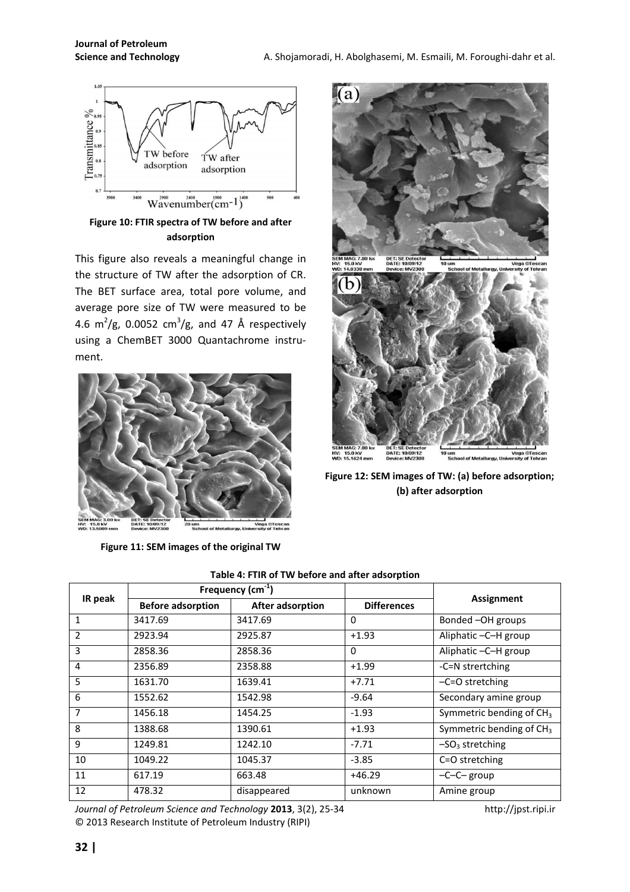

**Figure 10: FTIR spectra of TW before and after adsorption** 

This figure also reveals a meaningful change in the structure of TW after the adsorption of CR. The BET surface area, total pore volume, and average pore size of TW were measured to be 4.6 m<sup>2</sup>/g, 0.0052 cm<sup>3</sup>/g, and 47 Å respectively using a ChemBET 3000 Quantachrome instrument.



**Figure 11: SEM images of the original TW** 



**Figure 12: SEM images of TW: (a) before adsorption; (b) after adsorption** 

| IR peak        | Frequency $(cm-1)$       |                  |                    |                            |  |
|----------------|--------------------------|------------------|--------------------|----------------------------|--|
|                | <b>Before adsorption</b> | After adsorption | <b>Differences</b> | <b>Assignment</b>          |  |
| 1              | 3417.69                  | 3417.69          | 0                  | Bonded -OH groups          |  |
| $\overline{2}$ | 2923.94                  | 2925.87          | $+1.93$            | Aliphatic -C-H group       |  |
| 3              | 2858.36                  | 2858.36          | 0                  | Aliphatic -C-H group       |  |
| 4              | 2356.89                  | 2358.88          | $+1.99$            | -C=N strertching           |  |
| 5              | 1631.70                  | 1639.41          | $+7.71$            | $-C=O$ stretching          |  |
| 6              | 1552.62                  | 1542.98          | $-9.64$            | Secondary amine group      |  |
| 7              | 1456.18                  | 1454.25          | $-1.93$            | Symmetric bending of $CH3$ |  |
| 8              | 1388.68                  | 1390.61          | $+1.93$            | Symmetric bending of $CH3$ |  |
| 9              | 1249.81                  | 1242.10          | $-7.71$            | $-SO3$ stretching          |  |
| 10             | 1049.22                  | 1045.37          | $-3.85$            | C=O stretching             |  |
| 11             | 617.19                   | 663.48           | $+46.29$           | $-C-C$ group               |  |
| 12             | 478.32                   | disappeared      | unknown            | Amine group                |  |

**Table 4: FTIR of TW before and after adsorption**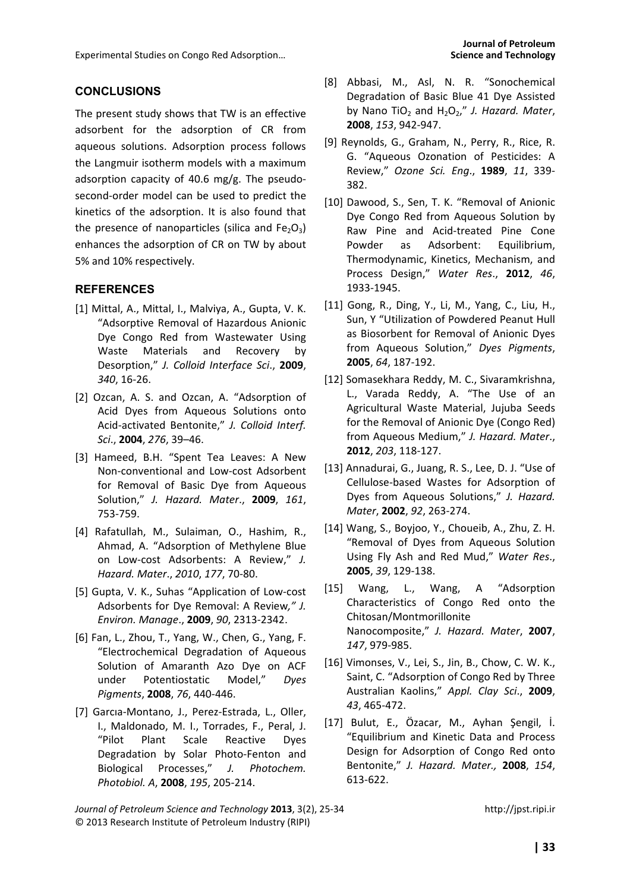#### **CONCLUSIONS**

The present study shows that TW is an effective adsorbent for the adsorption of CR from aqueous solutions. Adsorption process follows the Langmuir isotherm models with a maximum adsorption capacity of 40.6 mg/g. The pseudosecond-order model can be used to predict the kinetics of the adsorption. It is also found that the presence of nanoparticles (silica and  $Fe<sub>2</sub>O<sub>3</sub>$ ) enhances the adsorption of CR on TW by about 5% and 10% respectively.

#### **REFERENCES**

- [1] Mittal, A., Mittal, I., Malviya, A., Gupta, V. K. "Adsorptive Removal of Hazardous Anionic Dye Congo Red from Wastewater Using Waste Materials and Recovery by Desorption," *J. Colloid Interface Sci*., **2009**, *340*, 16-26.
- [2] Ozcan, A. S. and Ozcan, A. "Adsorption of Acid Dyes from Aqueous Solutions onto Acid-activated Bentonite," *J. Colloid Interf. Sci*., **2004**, *276*, 39–46.
- [3] Hameed, B.H. "Spent Tea Leaves: A New Non-conventional and Low-cost Adsorbent for Removal of Basic Dye from Aqueous Solution," *J. Hazard. Mater*., **2009**, *161*, 753-759.
- [4] Rafatullah, M., Sulaiman, O., Hashim, R., Ahmad, A. "Adsorption of Methylene Blue on Low-cost Adsorbents: A Review," *J. Hazard. Mater*., *2010*, *177*, 70-80.
- [5] Gupta, V. K., Suhas "Application of Low-cost Adsorbents for Dye Removal: A Review*," J. Environ. Manage*., **2009**, *90*, 2313-2342.
- [6] Fan, L., Zhou, T., Yang, W., Chen, G., Yang, F. "Electrochemical Degradation of Aqueous Solution of Amaranth Azo Dye on ACF under Potentiostatic Model," *Dyes Pigments*, **2008**, *76*, 440-446.
- [7] Garcıa-Montano, J., Perez-Estrada, L., Oller, I., Maldonado, M. I., Torrades, F., Peral, J. "Pilot Plant Scale Reactive Dyes Degradation by Solar Photo-Fenton and Biological Processes," *J. Photochem. Photobiol. A*, **2008**, *195*, 205-214.
- [8] Abbasi, M., Asl, N. R. "Sonochemical Degradation of Basic Blue 41 Dye Assisted by Nano TiO<sub>2</sub> and H<sub>2</sub>O<sub>2</sub>," *J. Hazard. Mater*, **2008**, *153*, 942-947.
- [9] Reynolds, G., Graham, N., Perry, R., Rice, R. G. "Aqueous Ozonation of Pesticides: A Review," *Ozone Sci. Eng*., **1989**, *11*, 339- 382.
- [10] Dawood, S., Sen, T. K. "Removal of Anionic Dye Congo Red from Aqueous Solution by Raw Pine and Acid-treated Pine Cone Powder as Adsorbent: Equilibrium, Thermodynamic, Kinetics, Mechanism, and Process Design," *Water Res*., **2012**, *46*, 1933-1945.
- [11] Gong, R., Ding, Y., Li, M., Yang, C., Liu, H., Sun, Y "Utilization of Powdered Peanut Hull as Biosorbent for Removal of Anionic Dyes from Aqueous Solution," *Dyes Pigments*, **2005**, *64*, 187-192.
- [12] Somasekhara Reddy, M. C., Sivaramkrishna, L., Varada Reddy, A. "The Use of an Agricultural Waste Material, Jujuba Seeds for the Removal of Anionic Dye (Congo Red) from Aqueous Medium," *J. Hazard. Mater*., **2012**, *203*, 118-127.
- [13] Annadurai, G., Juang, R. S., Lee, D. J. "Use of Cellulose-based Wastes for Adsorption of Dyes from Aqueous Solutions," *J. Hazard. Mater*, **2002**, *92*, 263-274.
- [14] Wang, S., Boyjoo, Y., Choueib, A., Zhu, Z. H. "Removal of Dyes from Aqueous Solution Using Fly Ash and Red Mud," *Water Res*., **2005**, *39*, 129-138.
- [15] Wang, L., Wang, A "Adsorption Characteristics of Congo Red onto the Chitosan/Montmorillonite Nanocomposite," *J. Hazard. Mater*, **2007**, *147*, 979-985.
- [16] Vimonses, V., Lei, S., Jin, B., Chow, C. W. K., Saint, C. "Adsorption of Congo Red by Three Australian Kaolins," *Appl. Clay Sci*., **2009**, *43*, 465-472.
- [17] Bulut, E., Özacar, M., Ayhan Şengil, İ. "Equilibrium and Kinetic Data and Process Design for Adsorption of Congo Red onto Bentonite," *J. Hazard. Mater.,* **2008**, *154*, 613-622.